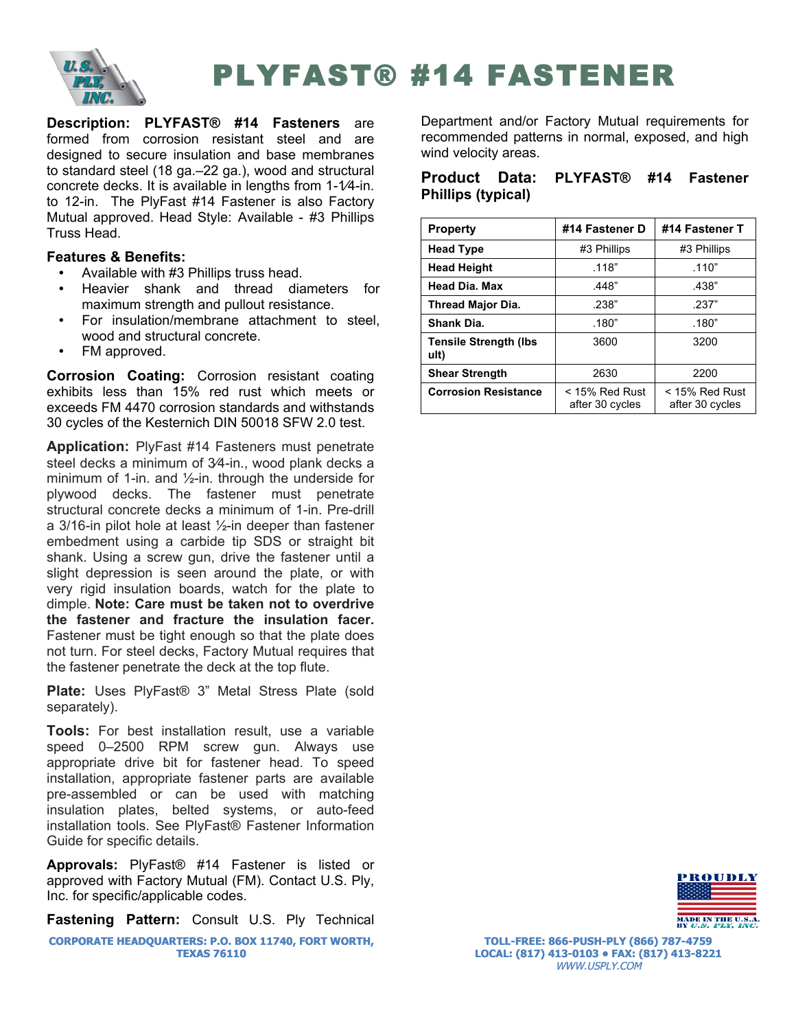

# PLYFAST® #14 FASTENER

**Description: PLYFAST® #14 Fasteners** are formed from corrosion resistant steel and are designed to secure insulation and base membranes to standard steel (18 ga.–22 ga.), wood and structural concrete decks. It is available in lengths from 1-1⁄4-in. to 12-in. The PlyFast #14 Fastener is also Factory Mutual approved. Head Style: Available - #3 Phillips Truss Head.

## **Features & Benefits:**

- Available with #3 Phillips truss head.
- Heavier shank and thread diameters for maximum strength and pullout resistance.
- For insulation/membrane attachment to steel, wood and structural concrete.
- FM approved.

**Corrosion Coating:** Corrosion resistant coating exhibits less than 15% red rust which meets or exceeds FM 4470 corrosion standards and withstands 30 cycles of the Kesternich DIN 50018 SFW 2.0 test.

**Application:** PlyFast #14 Fasteners must penetrate steel decks a minimum of 3⁄4-in., wood plank decks a minimum of 1-in. and ½-in. through the underside for plywood decks. The fastener must penetrate structural concrete decks a minimum of 1-in. Pre-drill a 3/16-in pilot hole at least ½-in deeper than fastener embedment using a carbide tip SDS or straight bit shank. Using a screw gun, drive the fastener until a slight depression is seen around the plate, or with very rigid insulation boards, watch for the plate to dimple. **Note: Care must be taken not to overdrive the fastener and fracture the insulation facer.**  Fastener must be tight enough so that the plate does not turn. For steel decks, Factory Mutual requires that the fastener penetrate the deck at the top flute.

**Plate:** Uses PlyFast® 3" Metal Stress Plate (sold separately).

**Tools:** For best installation result, use a variable speed 0–2500 RPM screw gun. Always use appropriate drive bit for fastener head. To speed installation, appropriate fastener parts are available pre-assembled or can be used with matching insulation plates, belted systems, or auto-feed installation tools. See PlyFast® Fastener Information Guide for specific details.

**Approvals:** PlyFast® #14 Fastener is listed or approved with Factory Mutual (FM). Contact U.S. Ply, Inc. for specific/applicable codes.

**Fastening Pattern:** Consult U.S. Ply Technical

**CORPORATE HEADQUARTERS: P.O. BOX 11740, FORT WORTH, TEXAS 76110**

Department and/or Factory Mutual requirements for recommended patterns in normal, exposed, and high wind velocity areas.

## **Product Data: PLYFAST® #14 Fastener Phillips (typical)**

| <b>Property</b>                       | #14 Fastener D                      | #14 Fastener T                      |
|---------------------------------------|-------------------------------------|-------------------------------------|
| <b>Head Type</b>                      | #3 Phillips                         | #3 Phillips                         |
| <b>Head Height</b>                    | .118"                               | .110"                               |
| <b>Head Dia. Max</b>                  | .448"                               | .438"                               |
| <b>Thread Major Dia.</b>              | .238"                               | .237"                               |
| Shank Dia.                            | .180"                               | .180"                               |
| <b>Tensile Strength (Ibs)</b><br>ult) | 3600                                | 3200                                |
| <b>Shear Strength</b>                 | 2630                                | 2200                                |
| <b>Corrosion Resistance</b>           | $<$ 15% Red Rust<br>after 30 cycles | $<$ 15% Red Rust<br>after 30 cycles |



**TOLL-FREE: 866-PUSH-PLY (866) 787-4759 LOCAL: (817) 413-0103 • FAX: (817) 413-8221** WWW.USPLY.COM